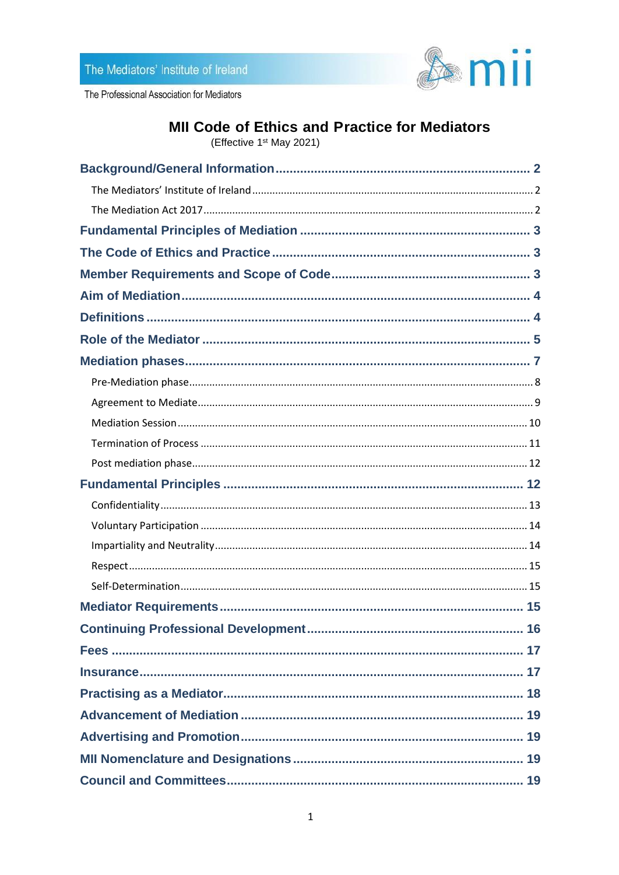

The Professional Association for Mediators

# MII Code of Ethics and Practice for Mediators

(Effective 1<sup>st</sup> May 2021)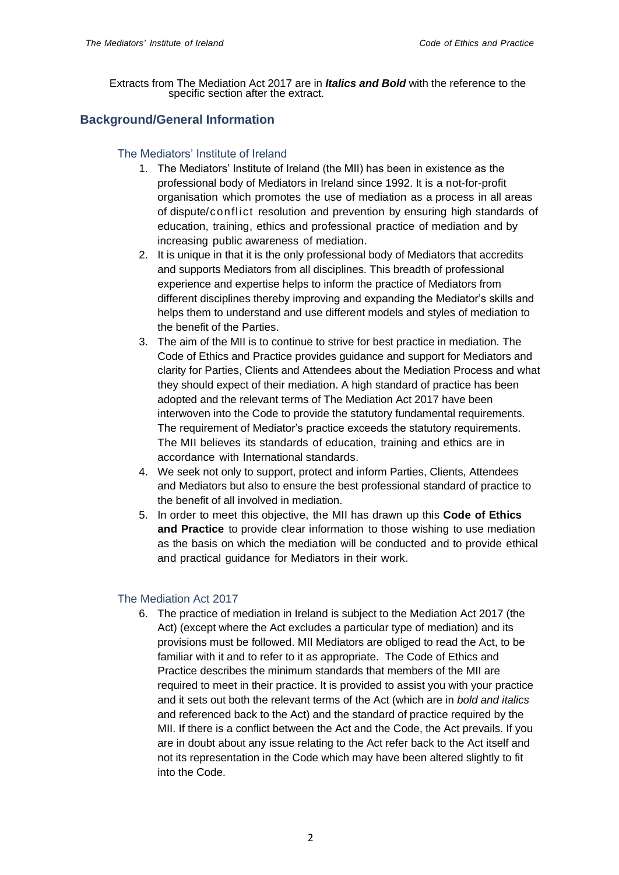Extracts from The Mediation Act 2017 are in *Italics and Bold* with the reference to the specific section after the extract.

# <span id="page-1-1"></span><span id="page-1-0"></span>**Background/General Information**

## The Mediators' Institute of Ireland

- 1. The Mediators' Institute of Ireland (the MII) has been in existence as the professional body of Mediators in Ireland since 1992. It is a not-for-profit organisation which promotes the use of mediation as a process in all areas of dispute/conflict resolution and prevention by ensuring high standards of education, training, ethics and professional practice of mediation and by increasing public awareness of mediation.
- 2. It is unique in that it is the only professional body of Mediators that accredits and supports Mediators from all disciplines. This breadth of professional experience and expertise helps to inform the practice of Mediators from different disciplines thereby improving and expanding the Mediator's skills and helps them to understand and use different models and styles of mediation to the benefit of the Parties.
- 3. The aim of the MII is to continue to strive for best practice in mediation. The Code of Ethics and Practice provides guidance and support for Mediators and clarity for Parties, Clients and Attendees about the Mediation Process and what they should expect of their mediation. A high standard of practice has been adopted and the relevant terms of The Mediation Act 2017 have been interwoven into the Code to provide the statutory fundamental requirements. The requirement of Mediator's practice exceeds the statutory requirements. The MII believes its standards of education, training and ethics are in accordance with International standards.
- 4. We seek not only to support, protect and inform Parties, Clients, Attendees and Mediators but also to ensure the best professional standard of practice to the benefit of all involved in mediation.
- 5. In order to meet this objective, the MII has drawn up this **Code of Ethics and Practice** to provide clear information to those wishing to use mediation as the basis on which the mediation will be conducted and to provide ethical and practical guidance for Mediators in their work.

# <span id="page-1-2"></span>The Mediation Act 2017

6. The practice of mediation in Ireland is subject to the Mediation Act 2017 (the Act) (except where the Act excludes a particular type of mediation) and its provisions must be followed. MII Mediators are obliged to read the Act, to be familiar with it and to refer to it as appropriate. The Code of Ethics and Practice describes the minimum standards that members of the MII are required to meet in their practice. It is provided to assist you with your practice and it sets out both the relevant terms of the Act (which are in *bold and italics* and referenced back to the Act) and the standard of practice required by the MII. If there is a conflict between the Act and the Code, the Act prevails. If you are in doubt about any issue relating to the Act refer back to the Act itself and not its representation in the Code which may have been altered slightly to fit into the Code.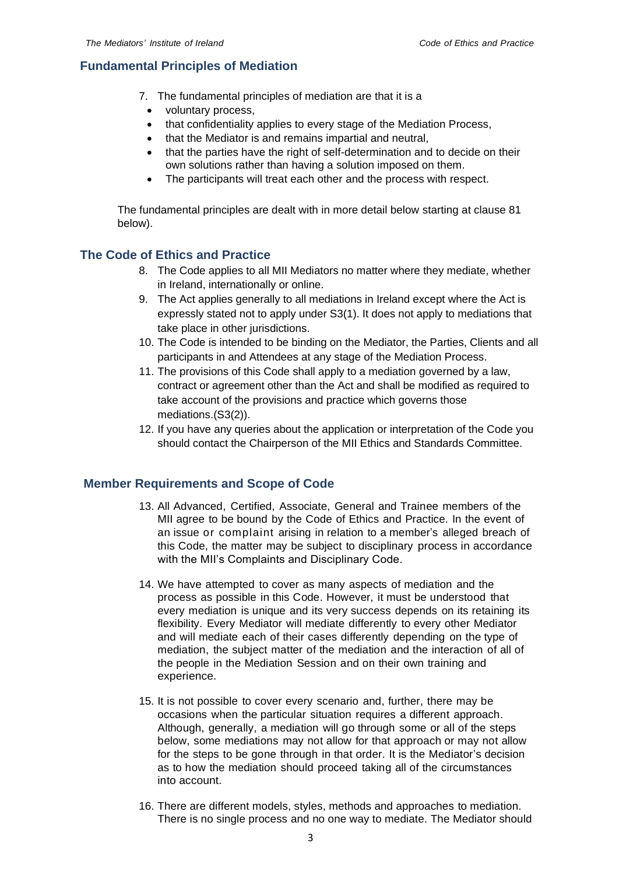# <span id="page-2-0"></span>**Fundamental Principles of Mediation**

- 7. The fundamental principles of mediation are that it is a
	- voluntary process,
	- that confidentiality applies to every stage of the Mediation Process,
	- that the Mediator is and remains impartial and neutral,
	- that the parties have the right of self-determination and to decide on their own solutions rather than having a solution imposed on them.
	- The participants will treat each other and the process with respect.

The fundamental principles are dealt with in more detail below starting at clause 81 below).

# <span id="page-2-1"></span>**The Code of Ethics and Practice**

- 8. The Code applies to all MII Mediators no matter where they mediate, whether in Ireland, internationally or online.
- 9. The Act applies generally to all mediations in Ireland except where the Act is expressly stated not to apply under S3(1). It does not apply to mediations that take place in other jurisdictions.
- 10. The Code is intended to be binding on the Mediator, the Parties, Clients and all participants in and Attendees at any stage of the Mediation Process.
- 11. The provisions of this Code shall apply to a mediation governed by a law, contract or agreement other than the Act and shall be modified as required to take account of the provisions and practice which governs those mediations.(S3(2)).
- 12. If you have any queries about the application or interpretation of the Code you should contact the Chairperson of the MII Ethics and Standards Committee.

# <span id="page-2-2"></span>**Member Requirements and Scope of Code**

- 13. All Advanced, Certified, Associate, General and Trainee members of the MII agree to be bound by the Code of Ethics and Practice. In the event of an issue or complaint arising in relation to a member's alleged breach of this Code, the matter may be subject to disciplinary process in accordance with the MII's Complaints and Disciplinary Code.
- 14. We have attempted to cover as many aspects of mediation and the process as possible in this Code. However, it must be understood that every mediation is unique and its very success depends on its retaining its flexibility. Every Mediator will mediate differently to every other Mediator and will mediate each of their cases differently depending on the type of mediation, the subject matter of the mediation and the interaction of all of the people in the Mediation Session and on their own training and experience.
- 15. It is not possible to cover every scenario and, further, there may be occasions when the particular situation requires a different approach. Although, generally, a mediation will go through some or all of the steps below, some mediations may not allow for that approach or may not allow for the steps to be gone through in that order. It is the Mediator's decision as to how the mediation should proceed taking all of the circumstances into account.
- 16. There are different models, styles, methods and approaches to mediation. There is no single process and no one way to mediate. The Mediator should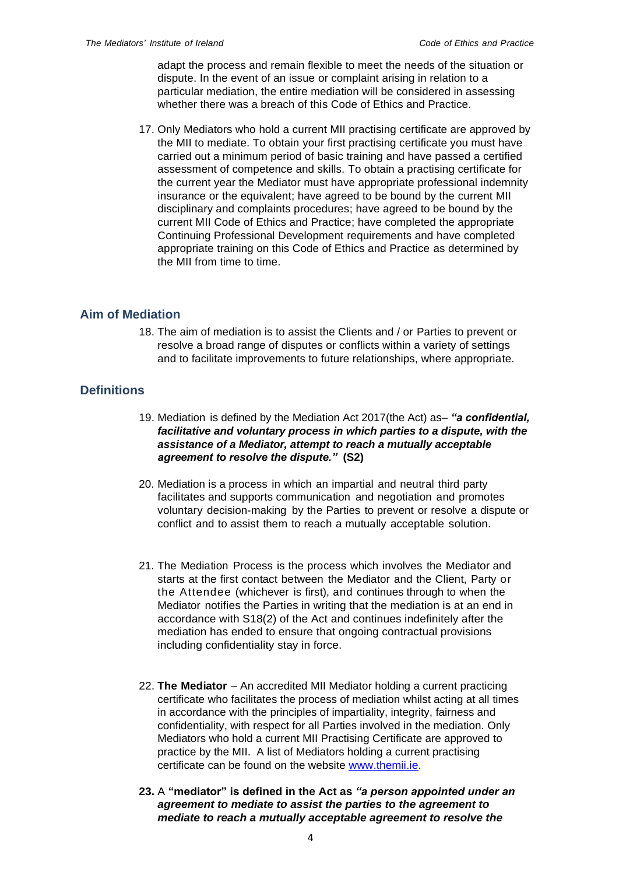adapt the process and remain flexible to meet the needs of the situation or dispute. In the event of an issue or complaint arising in relation to a particular mediation, the entire mediation will be considered in assessing whether there was a breach of this Code of Ethics and Practice.

17. Only Mediators who hold a current MII practising certificate are approved by the MII to mediate. To obtain your first practising certificate you must have carried out a minimum period of basic training and have passed a certified assessment of competence and skills. To obtain a practising certificate for the current year the Mediator must have appropriate professional indemnity insurance or the equivalent; have agreed to be bound by the current MII disciplinary and complaints procedures; have agreed to be bound by the current MII Code of Ethics and Practice; have completed the appropriate Continuing Professional Development requirements and have completed appropriate training on this Code of Ethics and Practice as determined by the MII from time to time.

# <span id="page-3-0"></span>**Aim of Mediation**

18. The aim of mediation is to assist the Clients and / or Parties to prevent or resolve a broad range of disputes or conflicts within a variety of settings and to facilitate improvements to future relationships, where appropriate.

# <span id="page-3-1"></span>**Definitions**

- 19. Mediation is defined by the Mediation Act 2017(the Act) as– *"a confidential, facilitative and voluntary process in which parties to a dispute, with the assistance of a Mediator, attempt to reach a mutually acceptable agreement to resolve the dispute."* **(S2)**
- 20. Mediation is a process in which an impartial and neutral third party facilitates and supports communication and negotiation and promotes voluntary decision-making by the Parties to prevent or resolve a dispute or conflict and to assist them to reach a mutually acceptable solution.
- 21. The Mediation Process is the process which involves the Mediator and starts at the first contact between the Mediator and the Client, Party or the Attendee (whichever is first), and continues through to when the Mediator notifies the Parties in writing that the mediation is at an end in accordance with S18(2) of the Act and continues indefinitely after the mediation has ended to ensure that ongoing contractual provisions including confidentiality stay in force.
- 22. **The Mediator** An accredited MII Mediator holding a current practicing certificate who facilitates the process of mediation whilst acting at all times in accordance with the principles of impartiality, integrity, fairness and confidentiality, with respect for all Parties involved in the mediation. Only Mediators who hold a current MII Practising Certificate are approved to practice by the MII. A list of Mediators holding a current practising certificate can be found on the website [www.themii.ie.](http://www.themii.ie/)
- **23.** A **"mediator" is defined in the Act as** *"a person appointed under an agreement to mediate to assist the parties to the agreement to mediate to reach a mutually acceptable agreement to resolve the*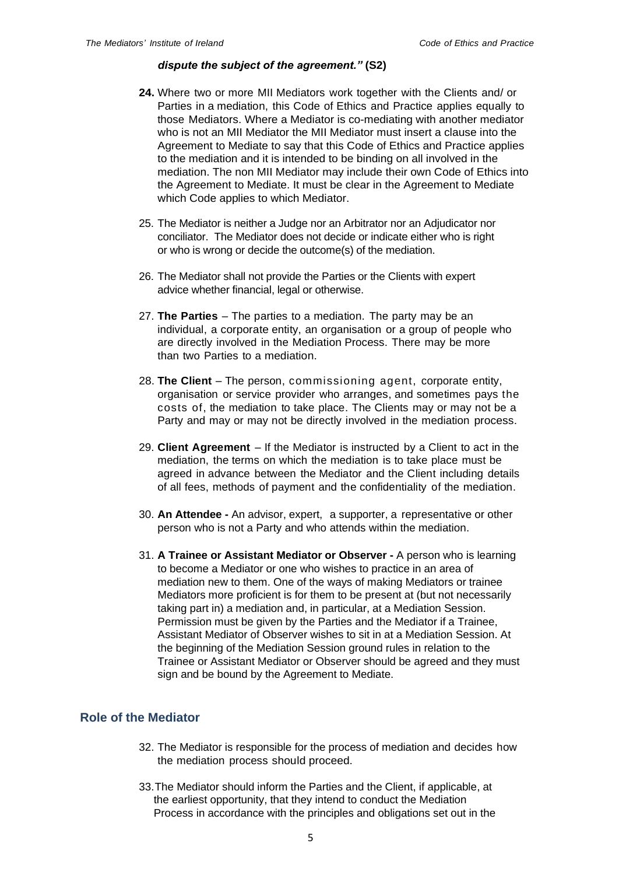#### *dispute the subject of the agreement."* **(S2)**

- **24.** Where two or more MII Mediators work together with the Clients and/ or Parties in a mediation, this Code of Ethics and Practice applies equally to those Mediators. Where a Mediator is co-mediating with another mediator who is not an MII Mediator the MII Mediator must insert a clause into the Agreement to Mediate to say that this Code of Ethics and Practice applies to the mediation and it is intended to be binding on all involved in the mediation. The non MII Mediator may include their own Code of Ethics into the Agreement to Mediate. It must be clear in the Agreement to Mediate which Code applies to which Mediator.
- 25. The Mediator is neither a Judge nor an Arbitrator nor an Adjudicator nor conciliator. The Mediator does not decide or indicate either who is right or who is wrong or decide the outcome(s) of the mediation.
- 26. The Mediator shall not provide the Parties or the Clients with expert advice whether financial, legal or otherwise.
- 27. **The Parties** The parties to a mediation. The party may be an individual, a corporate entity, an organisation or a group of people who are directly involved in the Mediation Process. There may be more than two Parties to a mediation.
- 28. **The Client** The person, commissioning agent, corporate entity, organisation or service provider who arranges, and sometimes pays the costs of, the mediation to take place. The Clients may or may not be a Party and may or may not be directly involved in the mediation process.
- 29. **Client Agreement** If the Mediator is instructed by a Client to act in the mediation, the terms on which the mediation is to take place must be agreed in advance between the Mediator and the Client including details of all fees, methods of payment and the confidentiality of the mediation.
- 30. **An Attendee -** An advisor, expert, a supporter, a representative or other person who is not a Party and who attends within the mediation.
- 31. **A Trainee or Assistant Mediator or Observer -** A person who is learning to become a Mediator or one who wishes to practice in an area of mediation new to them. One of the ways of making Mediators or trainee Mediators more proficient is for them to be present at (but not necessarily taking part in) a mediation and, in particular, at a Mediation Session. Permission must be given by the Parties and the Mediator if a Trainee, Assistant Mediator of Observer wishes to sit in at a Mediation Session. At the beginning of the Mediation Session ground rules in relation to the Trainee or Assistant Mediator or Observer should be agreed and they must sign and be bound by the Agreement to Mediate.

# <span id="page-4-0"></span>**Role of the Mediator**

- 32. The Mediator is responsible for the process of mediation and decides how the mediation process should proceed.
- 33.The Mediator should inform the Parties and the Client, if applicable, at the earliest opportunity, that they intend to conduct the Mediation Process in accordance with the principles and obligations set out in the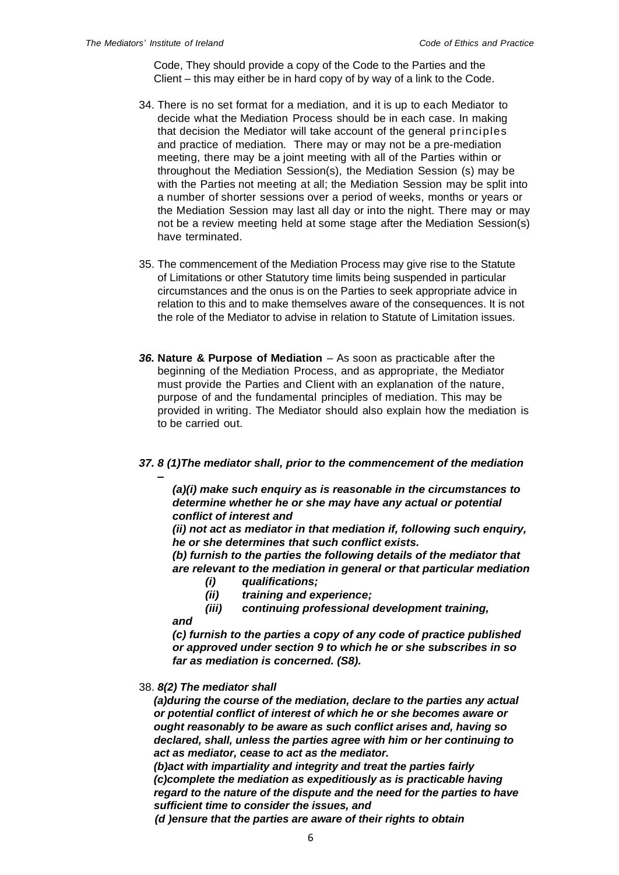Code, They should provide a copy of the Code to the Parties and the Client – this may either be in hard copy of by way of a link to the Code.

- 34. There is no set format for a mediation, and it is up to each Mediator to decide what the Mediation Process should be in each case. In making that decision the Mediator will take account of the general principles and practice of mediation. There may or may not be a pre-mediation meeting, there may be a joint meeting with all of the Parties within or throughout the Mediation Session(s), the Mediation Session (s) may be with the Parties not meeting at all; the Mediation Session may be split into a number of shorter sessions over a period of weeks, months or years or the Mediation Session may last all day or into the night. There may or may not be a review meeting held at some stage after the Mediation Session(s) have terminated.
- 35. The commencement of the Mediation Process may give rise to the Statute of Limitations or other Statutory time limits being suspended in particular circumstances and the onus is on the Parties to seek appropriate advice in relation to this and to make themselves aware of the consequences. It is not the role of the Mediator to advise in relation to Statute of Limitation issues.
- *36.* **Nature & Purpose of Mediation** As soon as practicable after the beginning of the Mediation Process, and as appropriate, the Mediator must provide the Parties and Client with an explanation of the nature, purpose of and the fundamental principles of mediation. This may be provided in writing. The Mediator should also explain how the mediation is to be carried out.

## *37. 8 (1)The mediator shall, prior to the commencement of the mediation –*

*(a)(i) make such enquiry as is reasonable in the circumstances to determine whether he or she may have any actual or potential conflict of interest and* 

*(ii) not act as mediator in that mediation if, following such enquiry, he or she determines that such conflict exists.*

*(b) furnish to the parties the following details of the mediator that are relevant to the mediation in general or that particular mediation*

- *(i) qualifications;*
- *(ii) training and experience;*

*(iii) continuing professional development training,*

*(c) furnish to the parties a copy of any code of practice published or approved under section 9 to which he or she subscribes in so far as mediation is concerned. (S8).*

## 38. *8(2) The mediator shall*

*and* 

*(a)during the course of the mediation, declare to the parties any actual or potential conflict of interest of which he or she becomes aware or ought reasonably to be aware as such conflict arises and, having so declared, shall, unless the parties agree with him or her continuing to act as mediator, cease to act as the mediator.* 

*(b)act with impartiality and integrity and treat the parties fairly (c)complete the mediation as expeditiously as is practicable having regard to the nature of the dispute and the need for the parties to have sufficient time to consider the issues, and*

*(d )ensure that the parties are aware of their rights to obtain*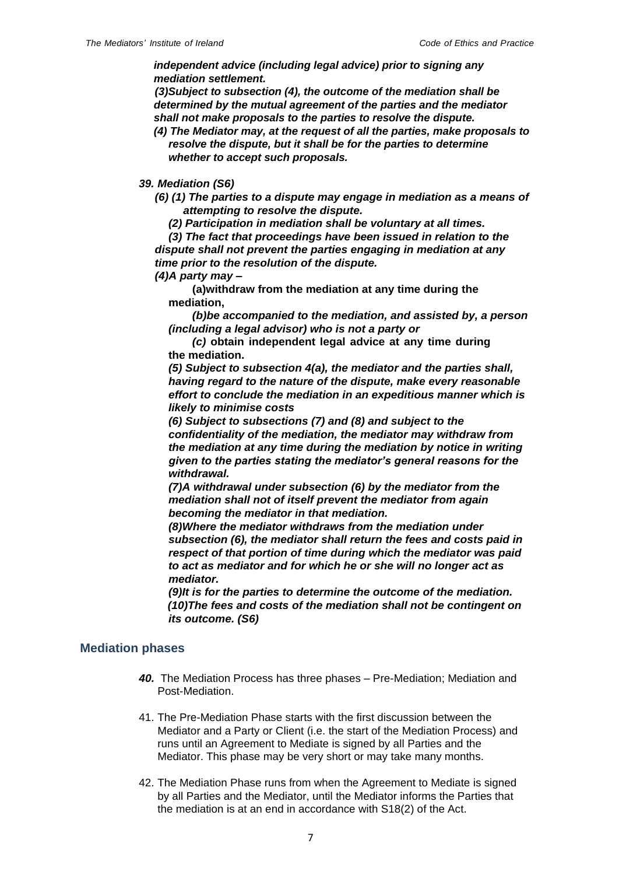*independent advice (including legal advice) prior to signing any mediation settlement.*

*(3)Subject to subsection (4), the outcome of the mediation shall be determined by the mutual agreement of the parties and the mediator shall not make proposals to the parties to resolve the dispute.*

*(4) The Mediator may, at the request of all the parties, make proposals to resolve the dispute, but it shall be for the parties to determine whether to accept such proposals.*

### *39. Mediation (S6)*

- *(6) (1) The parties to a dispute may engage in mediation as a means of attempting to resolve the dispute.*
	- *(2) Participation in mediation shall be voluntary at all times.*

*(3) The fact that proceedings have been issued in relation to the dispute shall not prevent the parties engaging in mediation at any time prior to the resolution of the dispute.*

*(4)A party may –*

**(a)withdraw from the mediation at any time during the mediation,**

*(b)be accompanied to the mediation, and assisted by, a person (including a legal advisor) who is not a party or*

*(c)* **obtain independent legal advice at any time during the mediation.**

*(5) Subject to subsection 4(a), the mediator and the parties shall, having regard to the nature of the dispute, make every reasonable effort to conclude the mediation in an expeditious manner which is likely to minimise costs*

*(6) Subject to subsections (7) and (8) and subject to the confidentiality of the mediation, the mediator may withdraw from the mediation at any time during the mediation by notice in writing given to the parties stating the mediator's general reasons for the withdrawal.*

*(7)A withdrawal under subsection (6) by the mediator from the mediation shall not of itself prevent the mediator from again becoming the mediator in that mediation.*

*(8)Where the mediator withdraws from the mediation under subsection (6), the mediator shall return the fees and costs paid in respect of that portion of time during which the mediator was paid to act as mediator and for which he or she will no longer act as mediator.*

*(9)It is for the parties to determine the outcome of the mediation. (10)The fees and costs of the mediation shall not be contingent on its outcome. (S6)*

## <span id="page-6-0"></span>**Mediation phases**

- *40.* The Mediation Process has three phases Pre-Mediation; Mediation and Post-Mediation.
- 41. The Pre-Mediation Phase starts with the first discussion between the Mediator and a Party or Client (i.e. the start of the Mediation Process) and runs until an Agreement to Mediate is signed by all Parties and the Mediator. This phase may be very short or may take many months.
- 42. The Mediation Phase runs from when the Agreement to Mediate is signed by all Parties and the Mediator, until the Mediator informs the Parties that the mediation is at an end in accordance with S18(2) of the Act.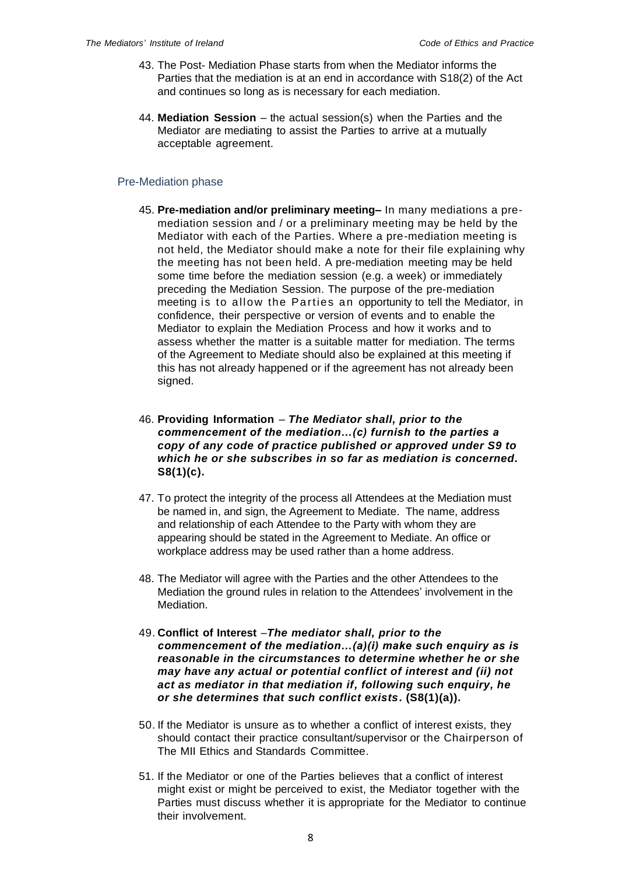- 43. The Post- Mediation Phase starts from when the Mediator informs the Parties that the mediation is at an end in accordance with S18(2) of the Act and continues so long as is necessary for each mediation.
- 44. **Mediation Session** the actual session(s) when the Parties and the Mediator are mediating to assist the Parties to arrive at a mutually acceptable agreement.

## <span id="page-7-0"></span>Pre-Mediation phase

- 45. **Pre-mediation and/or preliminary meeting–** In many mediations a premediation session and / or a preliminary meeting may be held by the Mediator with each of the Parties. Where a pre-mediation meeting is not held, the Mediator should make a note for their file explaining why the meeting has not been held. A pre-mediation meeting may be held some time before the mediation session (e.g. a week) or immediately preceding the Mediation Session. The purpose of the pre-mediation meeting is to allow the Parties an opportunity to tell the Mediator, in confidence, their perspective or version of events and to enable the Mediator to explain the Mediation Process and how it works and to assess whether the matter is a suitable matter for mediation. The terms of the Agreement to Mediate should also be explained at this meeting if this has not already happened or if the agreement has not already been signed.
- 46. **Providing Information** *The Mediator shall, prior to the commencement of the mediation…(c) furnish to the parties a copy of any code of practice published or approved under S9 to which he or she subscribes in so far as mediation is concerned.*  **S8(1)(c).**
- 47. To protect the integrity of the process all Attendees at the Mediation must be named in, and sign, the Agreement to Mediate. The name, address and relationship of each Attendee to the Party with whom they are appearing should be stated in the Agreement to Mediate. An office or workplace address may be used rather than a home address.
- 48. The Mediator will agree with the Parties and the other Attendees to the Mediation the ground rules in relation to the Attendees' involvement in the Mediation.
- 49. **Conflict of Interest** –*The mediator shall, prior to the commencement of the mediation…(a)(i) make such enquiry as is reasonable in the circumstances to determine whether he or she may have any actual or potential conflict of interest and (ii) not act as mediator in that mediation if, following such enquiry, he or she determines that such conflict exists***. (S8(1)(a)).**
- 50. If the Mediator is unsure as to whether a conflict of interest exists, they should contact their practice consultant/supervisor or the Chairperson of The MII Ethics and Standards Committee.
- 51. If the Mediator or one of the Parties believes that a conflict of interest might exist or might be perceived to exist, the Mediator together with the Parties must discuss whether it is appropriate for the Mediator to continue their involvement.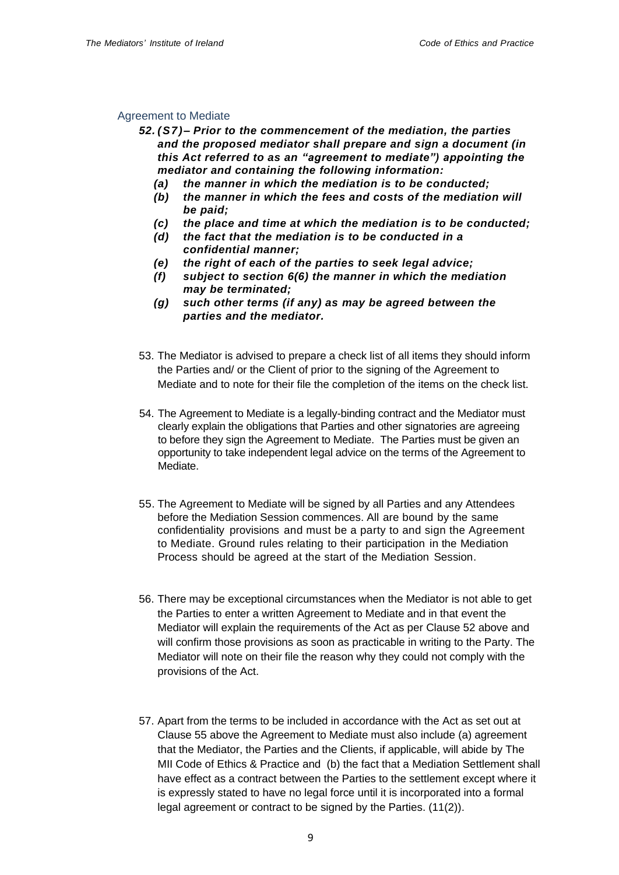### <span id="page-8-0"></span>Agreement to Mediate

- *52. (S7)– Prior to the commencement of the mediation, the parties and the proposed mediator shall prepare and sign a document (in this Act referred to as an "agreement to mediate") appointing the mediator and containing the following information:* 
	- *(a) the manner in which the mediation is to be conducted;*
	- *(b) the manner in which the fees and costs of the mediation will be paid;*
	- *(c) the place and time at which the mediation is to be conducted;*
	- *(d) the fact that the mediation is to be conducted in a confidential manner;*
	- *(e) the right of each of the parties to seek legal advice;*
	- *(f) subject to section 6(6) the manner in which the mediation may be terminated;*
	- *(g) such other terms (if any) as may be agreed between the parties and the mediator.*
- 53. The Mediator is advised to prepare a check list of all items they should inform the Parties and/ or the Client of prior to the signing of the Agreement to Mediate and to note for their file the completion of the items on the check list.
- 54. The Agreement to Mediate is a legally-binding contract and the Mediator must clearly explain the obligations that Parties and other signatories are agreeing to before they sign the Agreement to Mediate. The Parties must be given an opportunity to take independent legal advice on the terms of the Agreement to Mediate.
- 55. The Agreement to Mediate will be signed by all Parties and any Attendees before the Mediation Session commences. All are bound by the same confidentiality provisions and must be a party to and sign the Agreement to Mediate. Ground rules relating to their participation in the Mediation Process should be agreed at the start of the Mediation Session.
- 56. There may be exceptional circumstances when the Mediator is not able to get the Parties to enter a written Agreement to Mediate and in that event the Mediator will explain the requirements of the Act as per Clause 52 above and will confirm those provisions as soon as practicable in writing to the Party. The Mediator will note on their file the reason why they could not comply with the provisions of the Act.
- 57. Apart from the terms to be included in accordance with the Act as set out at Clause 55 above the Agreement to Mediate must also include (a) agreement that the Mediator, the Parties and the Clients, if applicable, will abide by The MII Code of Ethics & Practice and (b) the fact that a Mediation Settlement shall have effect as a contract between the Parties to the settlement except where it is expressly stated to have no legal force until it is incorporated into a formal legal agreement or contract to be signed by the Parties. (11(2)).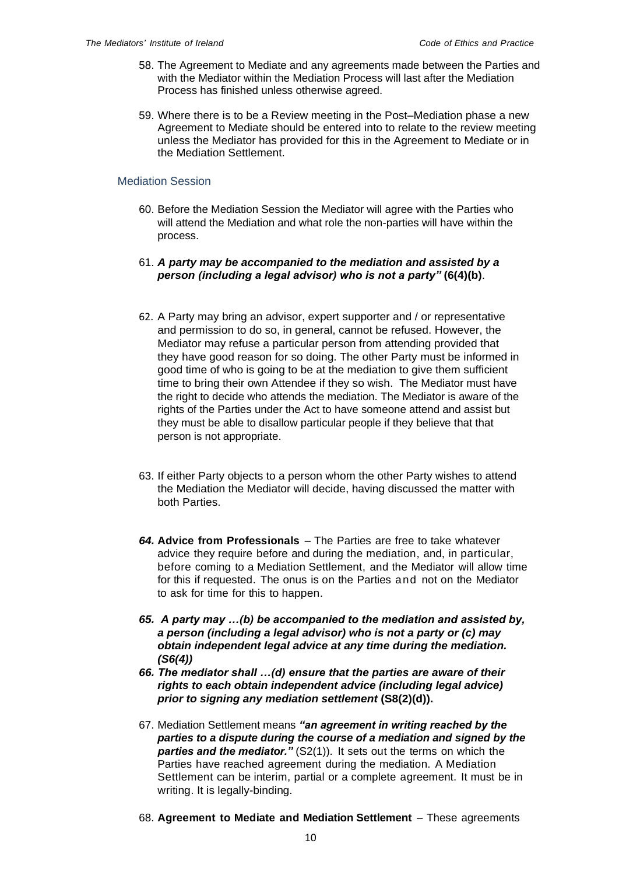- 58. The Agreement to Mediate and any agreements made between the Parties and with the Mediator within the Mediation Process will last after the Mediation Process has finished unless otherwise agreed.
- 59. Where there is to be a Review meeting in the Post–Mediation phase a new Agreement to Mediate should be entered into to relate to the review meeting unless the Mediator has provided for this in the Agreement to Mediate or in the Mediation Settlement.

## <span id="page-9-0"></span>Mediation Session

- 60. Before the Mediation Session the Mediator will agree with the Parties who will attend the Mediation and what role the non-parties will have within the process.
- 61. *A party may be accompanied to the mediation and assisted by a person (including a legal advisor) who is not a party"* **(6(4)(b)**.
- 62. A Party may bring an advisor, expert supporter and / or representative and permission to do so, in general, cannot be refused. However, the Mediator may refuse a particular person from attending provided that they have good reason for so doing. The other Party must be informed in good time of who is going to be at the mediation to give them sufficient time to bring their own Attendee if they so wish. The Mediator must have the right to decide who attends the mediation. The Mediator is aware of the rights of the Parties under the Act to have someone attend and assist but they must be able to disallow particular people if they believe that that person is not appropriate.
- 63. If either Party objects to a person whom the other Party wishes to attend the Mediation the Mediator will decide, having discussed the matter with both Parties.
- *64.* **Advice from Professionals** The Parties are free to take whatever advice they require before and during the mediation, and, in particular, before coming to a Mediation Settlement, and the Mediator will allow time for this if requested. The onus is on the Parties and not on the Mediator to ask for time for this to happen.
- *65. A party may …(b) be accompanied to the mediation and assisted by, a person (including a legal advisor) who is not a party or (c) may obtain independent legal advice at any time during the mediation. (S6(4))*
- *66. The mediator shall …(d) ensure that the parties are aware of their rights to each obtain independent advice (including legal advice) prior to signing any mediation settlement* **(S8(2)(d)).**
- 67. Mediation Settlement means *"an agreement in writing reached by the parties to a dispute during the course of a mediation and signed by the parties and the mediator."* (S2(1)). It sets out the terms on which the Parties have reached agreement during the mediation. A Mediation Settlement can be interim, partial or a complete agreement. It must be in writing. It is legally-binding.
- 68. **Agreement to Mediate and Mediation Settlement** These agreements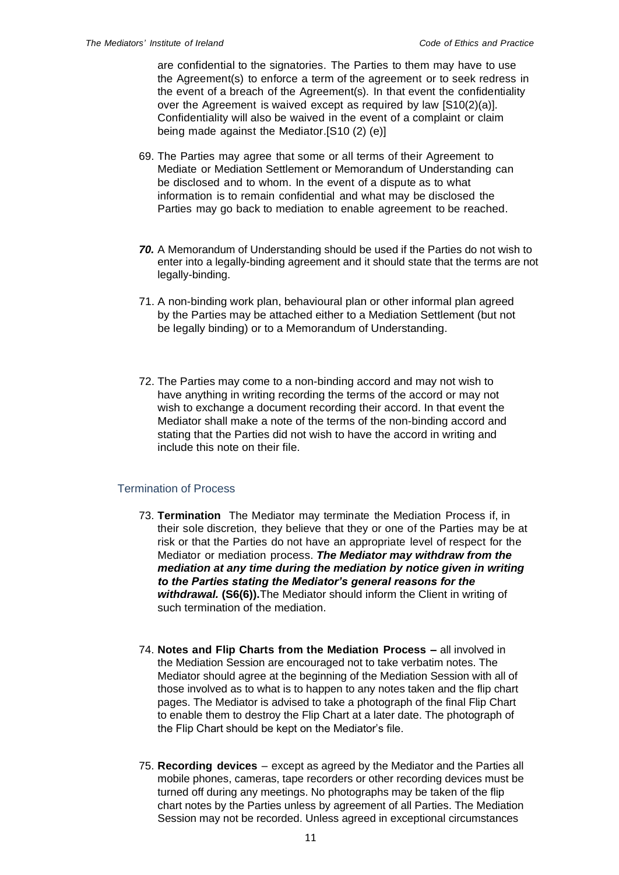are confidential to the signatories. The Parties to them may have to use the Agreement(s) to enforce a term of the agreement or to seek redress in the event of a breach of the Agreement(s). In that event the confidentiality over the Agreement is waived except as required by law [S10(2)(a)]. Confidentiality will also be waived in the event of a complaint or claim being made against the Mediator.[S10 (2) (e)]

- 69. The Parties may agree that some or all terms of their Agreement to Mediate or Mediation Settlement or Memorandum of Understanding can be disclosed and to whom. In the event of a dispute as to what information is to remain confidential and what may be disclosed the Parties may go back to mediation to enable agreement to be reached.
- *70.* A Memorandum of Understanding should be used if the Parties do not wish to enter into a legally-binding agreement and it should state that the terms are not legally-binding.
- 71. A non-binding work plan, behavioural plan or other informal plan agreed by the Parties may be attached either to a Mediation Settlement (but not be legally binding) or to a Memorandum of Understanding.
- 72. The Parties may come to a non-binding accord and may not wish to have anything in writing recording the terms of the accord or may not wish to exchange a document recording their accord. In that event the Mediator shall make a note of the terms of the non-binding accord and stating that the Parties did not wish to have the accord in writing and include this note on their file.

## <span id="page-10-0"></span>Termination of Process

- 73. **Termination** The Mediator may terminate the Mediation Process if, in their sole discretion, they believe that they or one of the Parties may be at risk or that the Parties do not have an appropriate level of respect for the Mediator or mediation process. *The Mediator may withdraw from the mediation at any time during the mediation by notice given in writing to the Parties stating the Mediator's general reasons for the withdrawal.* **(S6(6)).**The Mediator should inform the Client in writing of such termination of the mediation.
- 74. **Notes and Flip Charts from the Mediation Process –** all involved in the Mediation Session are encouraged not to take verbatim notes. The Mediator should agree at the beginning of the Mediation Session with all of those involved as to what is to happen to any notes taken and the flip chart pages. The Mediator is advised to take a photograph of the final Flip Chart to enable them to destroy the Flip Chart at a later date. The photograph of the Flip Chart should be kept on the Mediator's file.
- 75. **Recording devices** except as agreed by the Mediator and the Parties all mobile phones, cameras, tape recorders or other recording devices must be turned off during any meetings. No photographs may be taken of the flip chart notes by the Parties unless by agreement of all Parties. The Mediation Session may not be recorded. Unless agreed in exceptional circumstances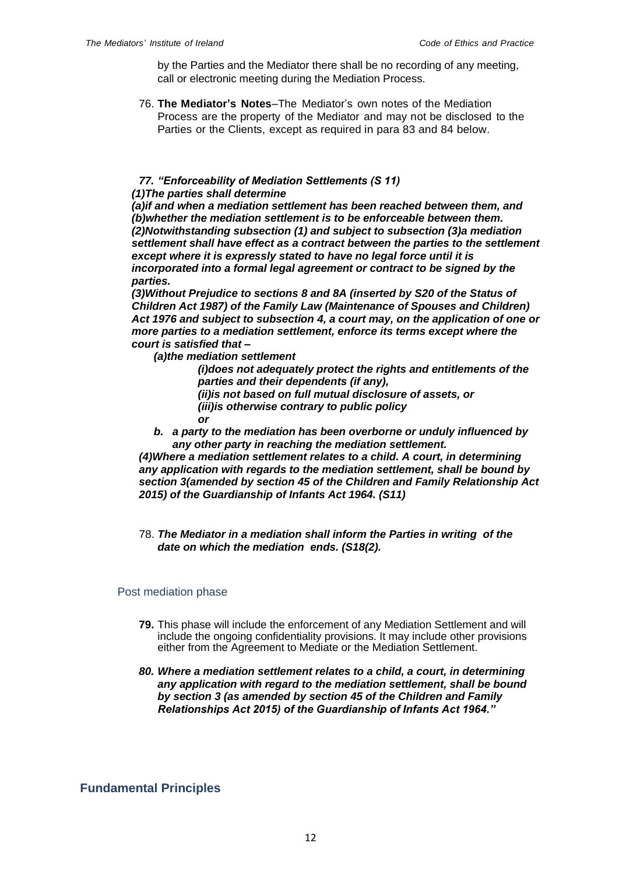by the Parties and the Mediator there shall be no recording of any meeting, call or electronic meeting during the Mediation Process.

76. **The Mediator's Notes**–The Mediator's own notes of the Mediation Process are the property of the Mediator and may not be disclosed to the Parties or the Clients, except as required in para 83 and 84 below.

### *77. "Enforceability of Mediation Settlements (S 11) (1)The parties shall determine*

*(a)if and when a mediation settlement has been reached between them, and (b)whether the mediation settlement is to be enforceable between them. (2)Notwithstanding subsection (1) and subject to subsection (3)a mediation settlement shall have effect as a contract between the parties to the settlement except where it is expressly stated to have no legal force until it is incorporated into a formal legal agreement or contract to be signed by the parties.* 

*(3)Without Prejudice to sections 8 and 8A (inserted by S20 of the Status of Children Act 1987) of the Family Law (Maintenance of Spouses and Children) Act 1976 and subject to subsection 4, a court may, on the application of one or more parties to a mediation settlement, enforce its terms except where the court is satisfied that –*

*(a)the mediation settlement* 

*(i)does not adequately protect the rights and entitlements of the parties and their dependents (if any),* 

*(ii)is not based on full mutual disclosure of assets, or (iii)is otherwise contrary to public policy*

*or*

*b. a party to the mediation has been overborne or unduly influenced by any other party in reaching the mediation settlement.*

*(4)Where a mediation settlement relates to a child. A court, in determining any application with regards to the mediation settlement, shall be bound by section 3(amended by section 45 of the Children and Family Relationship Act 2015) of the Guardianship of Infants Act 1964. (S11)*

78. *The Mediator in a mediation shall inform the Parties in writing of the date on which the mediation ends. (S18(2).*

## <span id="page-11-0"></span>Post mediation phase

- **79.** This phase will include the enforcement of any Mediation Settlement and will include the ongoing confidentiality provisions. It may include other provisions either from the Agreement to Mediate or the Mediation Settlement.
- *80. Where a mediation settlement relates to a child, a court, in determining any application with regard to the mediation settlement, shall be bound by section 3 (as amended by section 45 of the Children and Family Relationships Act 2015) of the Guardianship of Infants Act 1964."*

# <span id="page-11-1"></span>**Fundamental Principles**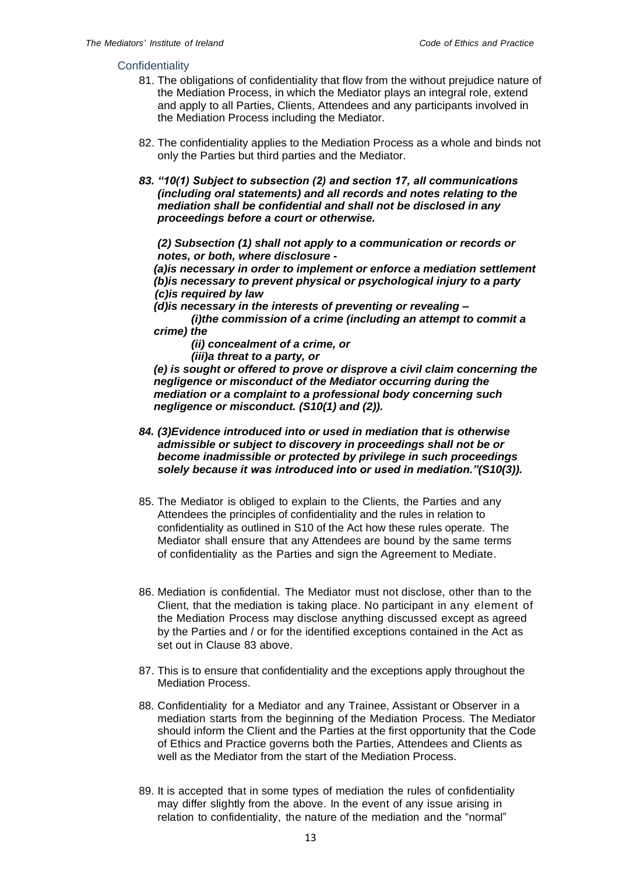#### <span id="page-12-0"></span>**Confidentiality**

- 81. The obligations of confidentiality that flow from the without prejudice nature of the Mediation Process, in which the Mediator plays an integral role, extend and apply to all Parties, Clients, Attendees and any participants involved in the Mediation Process including the Mediator.
- 82. The confidentiality applies to the Mediation Process as a whole and binds not only the Parties but third parties and the Mediator.
- *83. "10(1) Subject to subsection (2) and section 17, all communications (including oral statements) and all records and notes relating to the mediation shall be confidential and shall not be disclosed in any proceedings before a court or otherwise.*

*(2) Subsection (1) shall not apply to a communication or records or notes, or both, where disclosure -*

*(a)is necessary in order to implement or enforce a mediation settlement (b)is necessary to prevent physical or psychological injury to a party (c)is required by law*

*(d)is necessary in the interests of preventing or revealing –*

*(i)the commission of a crime (including an attempt to commit a crime) the*

*(ii) concealment of a crime, or*

*(iii)a threat to a party, or*

*(e) is sought or offered to prove or disprove a civil claim concerning the negligence or misconduct of the Mediator occurring during the mediation or a complaint to a professional body concerning such negligence or misconduct. (S10(1) and (2)).*

- *84. (3)Evidence introduced into or used in mediation that is otherwise admissible or subject to discovery in proceedings shall not be or become inadmissible or protected by privilege in such proceedings solely because it was introduced into or used in mediation."(S10(3)).*
- 85. The Mediator is obliged to explain to the Clients, the Parties and any Attendees the principles of confidentiality and the rules in relation to confidentiality as outlined in S10 of the Act how these rules operate. The Mediator shall ensure that any Attendees are bound by the same terms of confidentiality as the Parties and sign the Agreement to Mediate.
- 86. Mediation is confidential. The Mediator must not disclose, other than to the Client, that the mediation is taking place. No participant in any element of the Mediation Process may disclose anything discussed except as agreed by the Parties and / or for the identified exceptions contained in the Act as set out in Clause 83 above.
- 87. This is to ensure that confidentiality and the exceptions apply throughout the Mediation Process.
- 88. Confidentiality for a Mediator and any Trainee, Assistant or Observer in a mediation starts from the beginning of the Mediation Process. The Mediator should inform the Client and the Parties at the first opportunity that the Code of Ethics and Practice governs both the Parties, Attendees and Clients as well as the Mediator from the start of the Mediation Process.
- 89. It is accepted that in some types of mediation the rules of confidentiality may differ slightly from the above. In the event of any issue arising in relation to confidentiality, the nature of the mediation and the "normal"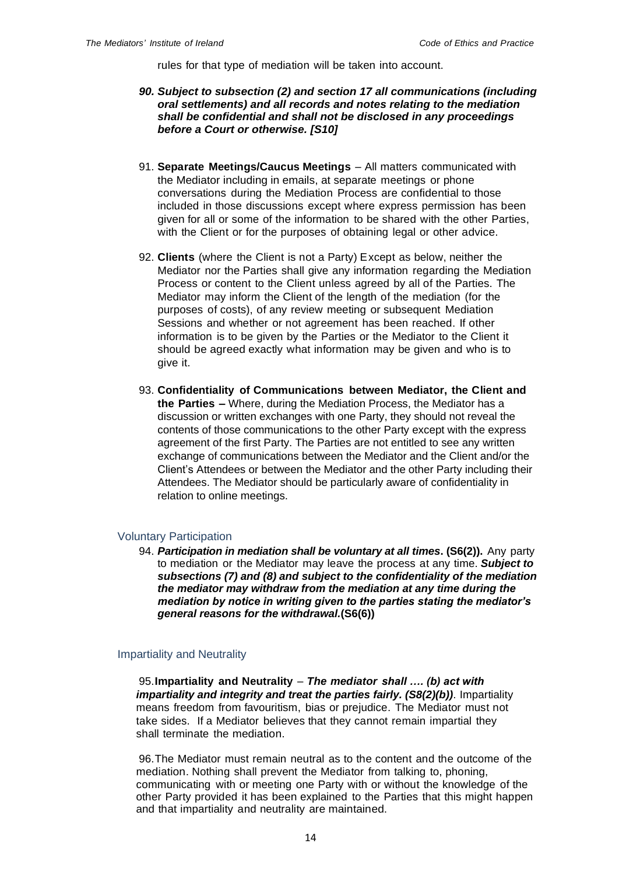rules for that type of mediation will be taken into account.

- *90. Subject to subsection (2) and section 17 all communications (including oral settlements) and all records and notes relating to the mediation shall be confidential and shall not be disclosed in any proceedings before a Court or otherwise. [S10]*
- 91. **Separate Meetings/Caucus Meetings** All matters communicated with the Mediator including in emails, at separate meetings or phone conversations during the Mediation Process are confidential to those included in those discussions except where express permission has been given for all or some of the information to be shared with the other Parties, with the Client or for the purposes of obtaining legal or other advice.
- 92. **Clients** (where the Client is not a Party) Except as below, neither the Mediator nor the Parties shall give any information regarding the Mediation Process or content to the Client unless agreed by all of the Parties. The Mediator may inform the Client of the length of the mediation (for the purposes of costs), of any review meeting or subsequent Mediation Sessions and whether or not agreement has been reached. If other information is to be given by the Parties or the Mediator to the Client it should be agreed exactly what information may be given and who is to give it.
- 93. **Confidentiality of Communications between Mediator, the Client and the Parties –** Where, during the Mediation Process, the Mediator has a discussion or written exchanges with one Party, they should not reveal the contents of those communications to the other Party except with the express agreement of the first Party. The Parties are not entitled to see any written exchange of communications between the Mediator and the Client and/or the Client's Attendees or between the Mediator and the other Party including their Attendees. The Mediator should be particularly aware of confidentiality in relation to online meetings.

## <span id="page-13-0"></span>Voluntary Participation

94. *Participation in mediation shall be voluntary at all times***. (S6(2)).** Any party to mediation or the Mediator may leave the process at any time. *Subject to subsections (7) and (8) and subject to the confidentiality of the mediation the mediator may withdraw from the mediation at any time during the mediation by notice in writing given to the parties stating the mediator's general reasons for the withdrawal.***(S6(6))**

#### <span id="page-13-1"></span>Impartiality and Neutrality

95.**Impartiality and Neutrality** – *The mediator shall …. (b) act with impartiality and integrity and treat the parties fairly. (S8(2)(b))*. Impartiality means freedom from favouritism, bias or prejudice. The Mediator must not take sides. If a Mediator believes that they cannot remain impartial they shall terminate the mediation.

96.The Mediator must remain neutral as to the content and the outcome of the mediation. Nothing shall prevent the Mediator from talking to, phoning, communicating with or meeting one Party with or without the knowledge of the other Party provided it has been explained to the Parties that this might happen and that impartiality and neutrality are maintained.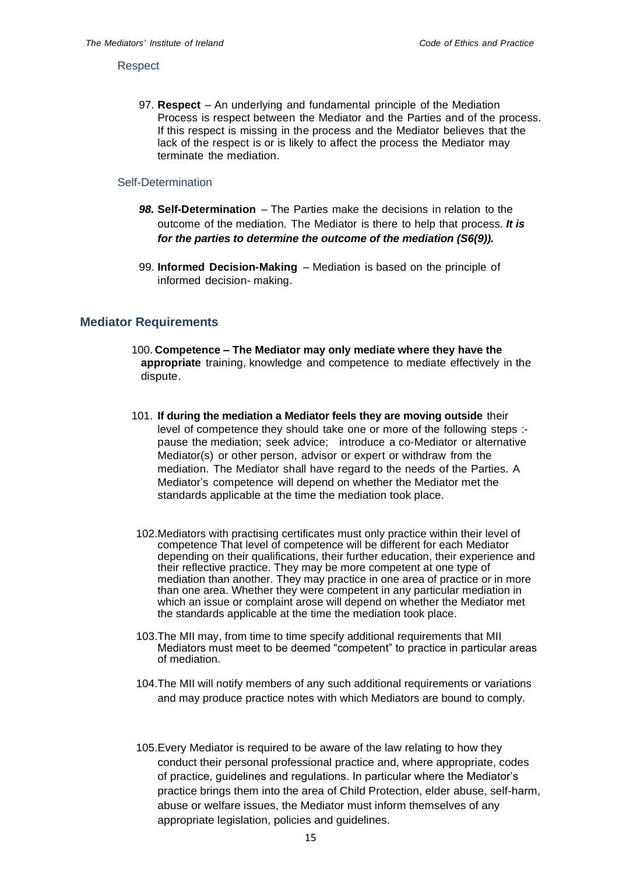#### <span id="page-14-0"></span>**Respect**

97. **Respect** – An underlying and fundamental principle of the Mediation Process is respect between the Mediator and the Parties and of the process. If this respect is missing in the process and the Mediator believes that the lack of the respect is or is likely to affect the process the Mediator may terminate the mediation.

## <span id="page-14-1"></span>Self-Determination

- *98.* **Self-Determination** The Parties make the decisions in relation to the outcome of the mediation. The Mediator is there to help that process. *It is for the parties to determine the outcome of the mediation (S6(9)).*
- 99. **Informed Decision-Making** Mediation is based on the principle of informed decision- making.

### <span id="page-14-2"></span>**Mediator Requirements**

- 100. **Competence – The Mediator may only mediate where they have the appropriate** training, knowledge and competence to mediate effectively in the dispute.
- 101. **If during the mediation a Mediator feels they are moving outside** their level of competence they should take one or more of the following steps : pause the mediation; seek advice; introduce a co-Mediator or alternative Mediator(s) or other person, advisor or expert or withdraw from the mediation. The Mediator shall have regard to the needs of the Parties. A Mediator's competence will depend on whether the Mediator met the standards applicable at the time the mediation took place.
- 102.Mediators with practising certificates must only practice within their level of competence That level of competence will be different for each Mediator depending on their qualifications, their further education, their experience and their reflective practice. They may be more competent at one type of mediation than another. They may practice in one area of practice or in more than one area. Whether they were competent in any particular mediation in which an issue or complaint arose will depend on whether the Mediator met the standards applicable at the time the mediation took place.
- 103.The MII may, from time to time specify additional requirements that MII Mediators must meet to be deemed "competent" to practice in particular areas of mediation.
- 104.The MII will notify members of any such additional requirements or variations and may produce practice notes with which Mediators are bound to comply.
- 105.Every Mediator is required to be aware of the law relating to how they conduct their personal professional practice and, where appropriate, codes of practice, guidelines and regulations. In particular where the Mediator's practice brings them into the area of Child Protection, elder abuse, self-harm, abuse or welfare issues, the Mediator must inform themselves of any appropriate legislation, policies and guidelines.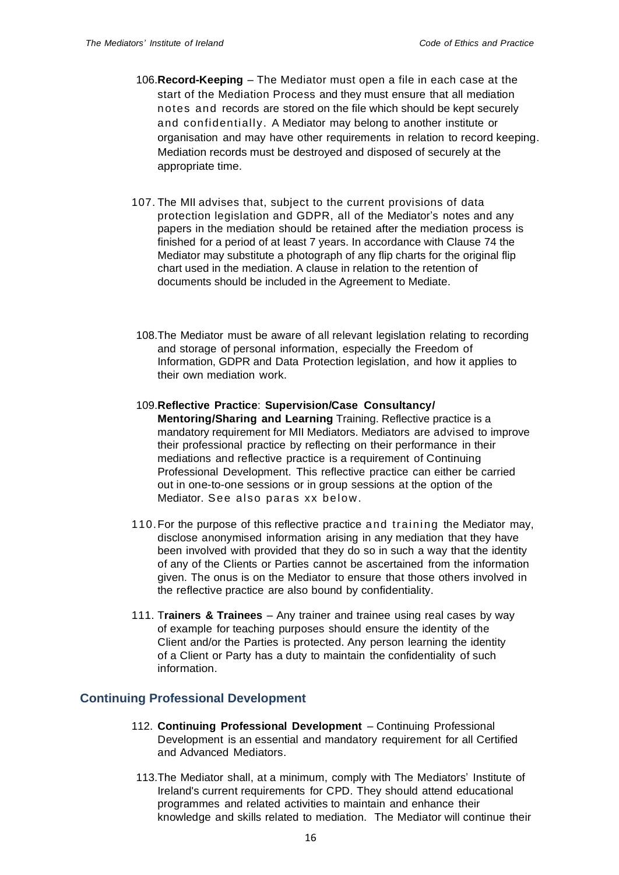- 106.**Record-Keeping** The Mediator must open a file in each case at the start of the Mediation Process and they must ensure that all mediation notes and records are stored on the file which should be kept securely and confidentially. A Mediator may belong to another institute or organisation and may have other requirements in relation to record keeping. Mediation records must be destroyed and disposed of securely at the appropriate time.
- 107. The MII advises that, subject to the current provisions of data protection legislation and GDPR, all of the Mediator's notes and any papers in the mediation should be retained after the mediation process is finished for a period of at least 7 years. In accordance with Clause 74 the Mediator may substitute a photograph of any flip charts for the original flip chart used in the mediation. A clause in relation to the retention of documents should be included in the Agreement to Mediate.
- 108.The Mediator must be aware of all relevant legislation relating to recording and storage of personal information, especially the Freedom of Information, GDPR and Data Protection legislation, and how it applies to their own mediation work.
- 109.**Reflective Practice**: **Supervision/Case Consultancy/ Mentoring/Sharing and Learning** Training. Reflective practice is a mandatory requirement for MII Mediators. Mediators are advised to improve their professional practice by reflecting on their performance in their mediations and reflective practice is a requirement of Continuing Professional Development. This reflective practice can either be carried out in one-to-one sessions or in group sessions at the option of the Mediator. See also paras xx below.
- 110.For the purpose of this reflective practice and training the Mediator may, disclose anonymised information arising in any mediation that they have been involved with provided that they do so in such a way that the identity of any of the Clients or Parties cannot be ascertained from the information given. The onus is on the Mediator to ensure that those others involved in the reflective practice are also bound by confidentiality.
- 111. T**rainers & Trainees** Any trainer and trainee using real cases by way of example for teaching purposes should ensure the identity of the Client and/or the Parties is protected. Any person learning the identity of a Client or Party has a duty to maintain the confidentiality of such information.

# <span id="page-15-0"></span>**Continuing Professional Development**

- 112. **Continuing Professional Development** Continuing Professional Development is an essential and mandatory requirement for all Certified and Advanced Mediators.
- 113.The Mediator shall, at a minimum, comply with The Mediators' Institute of Ireland's current requirements for CPD. They should attend educational programmes and related activities to maintain and enhance their knowledge and skills related to mediation. The Mediator will continue their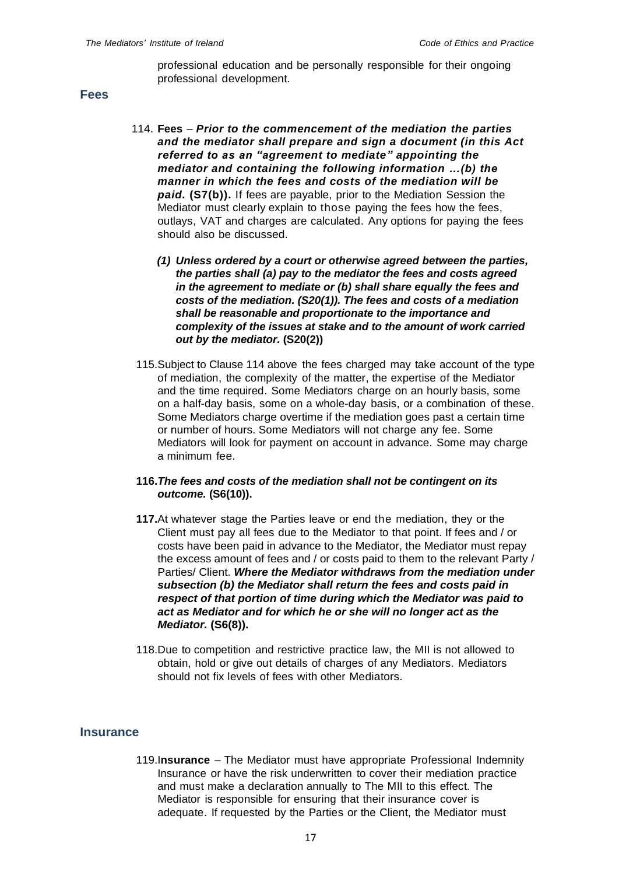professional education and be personally responsible for their ongoing professional development.

#### <span id="page-16-0"></span>**Fees**

- 114. **Fees** *Prior to the commencement of the mediation the parties and the mediator shall prepare and sign a document (in this Act referred to as an "agreement to mediate" appointing the mediator and containing the following information …(b) the manner in which the fees and costs of the mediation will be paid.* **(S7(b)).** If fees are payable, prior to the Mediation Session the Mediator must clearly explain to those paying the fees how the fees, outlays, VAT and charges are calculated. Any options for paying the fees should also be discussed.
	- *(1) Unless ordered by a court or otherwise agreed between the parties, the parties shall (a) pay to the mediator the fees and costs agreed in the agreement to mediate or (b) shall share equally the fees and costs of the mediation. (S20(1)). The fees and costs of a mediation shall be reasonable and proportionate to the importance and complexity of the issues at stake and to the amount of work carried out by the mediator.* **(S20(2))**
- 115.Subject to Clause 114 above the fees charged may take account of the type of mediation, the complexity of the matter, the expertise of the Mediator and the time required. Some Mediators charge on an hourly basis, some on a half-day basis, some on a whole-day basis, or a combination of these. Some Mediators charge overtime if the mediation goes past a certain time or number of hours. Some Mediators will not charge any fee. Some Mediators will look for payment on account in advance. Some may charge a minimum fee.
- **116.***The fees and costs of the mediation shall not be contingent on its outcome.* **(S6(10)).**
- **117.**At whatever stage the Parties leave or end the mediation, they or the Client must pay all fees due to the Mediator to that point. If fees and / or costs have been paid in advance to the Mediator, the Mediator must repay the excess amount of fees and / or costs paid to them to the relevant Party / Parties/ Client. *Where the Mediator withdraws from the mediation under subsection (b) the Mediator shall return the fees and costs paid in respect of that portion of time during which the Mediator was paid to act as Mediator and for which he or she will no longer act as the Mediator.* **(S6(8)).**
- 118.Due to competition and restrictive practice law, the MII is not allowed to obtain, hold or give out details of charges of any Mediators. Mediators should not fix levels of fees with other Mediators.

## <span id="page-16-1"></span>**Insurance**

119.I**nsurance** – The Mediator must have appropriate Professional Indemnity Insurance or have the risk underwritten to cover their mediation practice and must make a declaration annually to The MII to this effect. The Mediator is responsible for ensuring that their insurance cover is adequate. If requested by the Parties or the Client, the Mediator must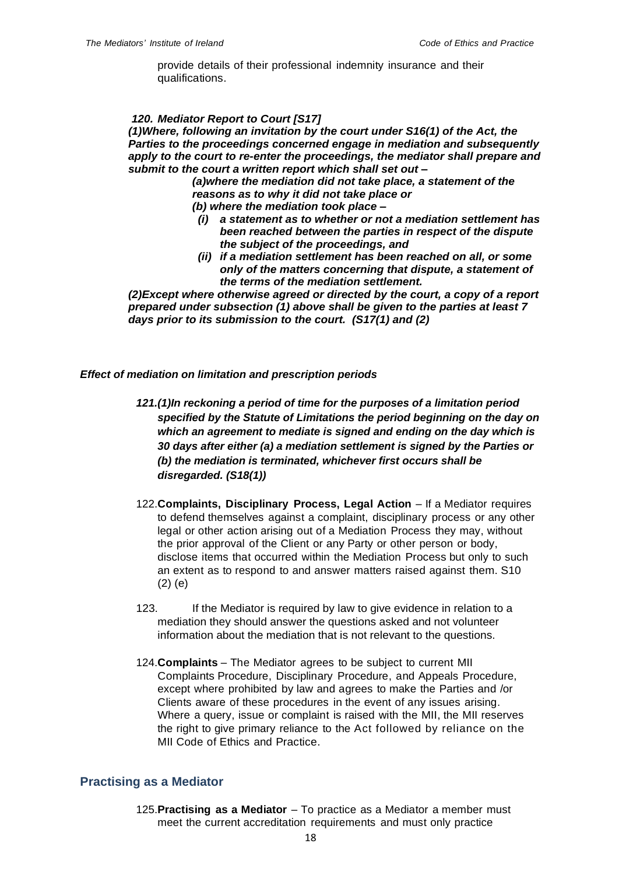provide details of their professional indemnity insurance and their qualifications.

#### *120. Mediator Report to Court [S17]*

*(1)Where, following an invitation by the court under S16(1) of the Act, the Parties to the proceedings concerned engage in mediation and subsequently*  apply to the court to re-enter the proceedings, the mediator shall prepare and *submit to the court a written report which shall set out –*

> *(a)where the mediation did not take place, a statement of the reasons as to why it did not take place or (b) where the mediation took place –*

- *(i) a statement as to whether or not a mediation settlement has been reached between the parties in respect of the dispute the subject of the proceedings, and*
- *(ii) if a mediation settlement has been reached on all, or some only of the matters concerning that dispute, a statement of the terms of the mediation settlement.*

*(2)Except where otherwise agreed or directed by the court, a copy of a report prepared under subsection (1) above shall be given to the parties at least 7 days prior to its submission to the court. (S17(1) and (2)*

#### *Effect of mediation on limitation and prescription periods*

- *121.(1)In reckoning a period of time for the purposes of a limitation period specified by the Statute of Limitations the period beginning on the day on which an agreement to mediate is signed and ending on the day which is 30 days after either (a) a mediation settlement is signed by the Parties or (b) the mediation is terminated, whichever first occurs shall be disregarded. (S18(1))*
- 122.**Complaints, Disciplinary Process, Legal Action** If a Mediator requires to defend themselves against a complaint, disciplinary process or any other legal or other action arising out of a Mediation Process they may, without the prior approval of the Client or any Party or other person or body, disclose items that occurred within the Mediation Process but only to such an extent as to respond to and answer matters raised against them. S10 (2) (e)
- 123. If the Mediator is required by law to give evidence in relation to a mediation they should answer the questions asked and not volunteer information about the mediation that is not relevant to the questions.
- 124.**Complaints**  The Mediator agrees to be subject to current MII Complaints Procedure, Disciplinary Procedure, and Appeals Procedure, except where prohibited by law and agrees to make the Parties and /or Clients aware of these procedures in the event of any issues arising. Where a query, issue or complaint is raised with the MII, the MII reserves the right to give primary reliance to the Act followed by reliance on the MII Code of Ethics and Practice.

## <span id="page-17-0"></span>**Practising as a Mediator**

125.**Practising as a Mediator** – To practice as a Mediator a member must meet the current accreditation requirements and must only practice